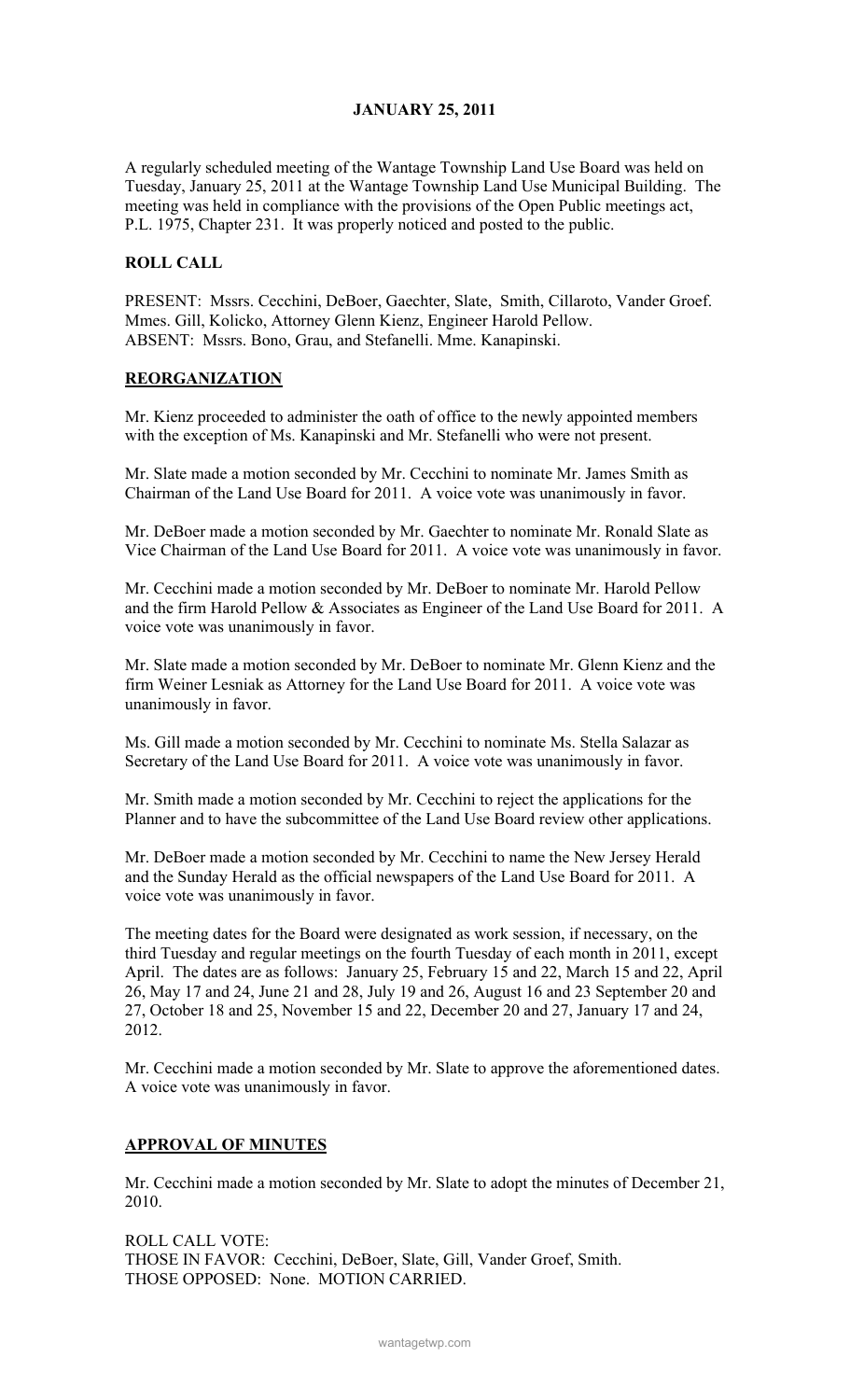## JANUARY 25, 2011

A regularly scheduled meeting of the Wantage Township Land Use Board was held on Tuesday, January 25, 2011 at the Wantage Township Land Use Municipal Building. The meeting was held in compliance with the provisions of the Open Public meetings act, P.L. 1975, Chapter 231. It was properly noticed and posted to the public.

### ROLL CALL

PRESENT: Mssrs. Cecchini, DeBoer, Gaechter, Slate, Smith, Cillaroto, Vander Groef. Mmes. Gill, Kolicko, Attorney Glenn Kienz, Engineer Harold Pellow. ABSENT: Mssrs. Bono, Grau, and Stefanelli. Mme. Kanapinski.

#### REORGANIZATION

Mr. Kienz proceeded to administer the oath of office to the newly appointed members with the exception of Ms. Kanapinski and Mr. Stefanelli who were not present.

Mr. Slate made a motion seconded by Mr. Cecchini to nominate Mr. James Smith as Chairman of the Land Use Board for 2011. A voice vote was unanimously in favor.

Mr. DeBoer made a motion seconded by Mr. Gaechter to nominate Mr. Ronald Slate as Vice Chairman of the Land Use Board for 2011. A voice vote was unanimously in favor.

Mr. Cecchini made a motion seconded by Mr. DeBoer to nominate Mr. Harold Pellow and the firm Harold Pellow & Associates as Engineer of the Land Use Board for 2011. A voice vote was unanimously in favor.

Mr. Slate made a motion seconded by Mr. DeBoer to nominate Mr. Glenn Kienz and the firm Weiner Lesniak as Attorney for the Land Use Board for 2011. A voice vote was unanimously in favor.

Ms. Gill made a motion seconded by Mr. Cecchini to nominate Ms. Stella Salazar as Secretary of the Land Use Board for 2011. A voice vote was unanimously in favor.

Mr. Smith made a motion seconded by Mr. Cecchini to reject the applications for the Planner and to have the subcommittee of the Land Use Board review other applications.

Mr. DeBoer made a motion seconded by Mr. Cecchini to name the New Jersey Herald and the Sunday Herald as the official newspapers of the Land Use Board for 2011. A voice vote was unanimously in favor.

The meeting dates for the Board were designated as work session, if necessary, on the third Tuesday and regular meetings on the fourth Tuesday of each month in 2011, except April. The dates are as follows: January 25, February 15 and 22, March 15 and 22, April 26, May 17 and 24, June 21 and 28, July 19 and 26, August 16 and 23 September 20 and 27, October 18 and 25, November 15 and 22, December 20 and 27, January 17 and 24, 2012.

Mr. Cecchini made a motion seconded by Mr. Slate to approve the aforementioned dates. A voice vote was unanimously in favor.

## APPROVAL OF MINUTES

Mr. Cecchini made a motion seconded by Mr. Slate to adopt the minutes of December 21, 2010.

ROLL CALL VOTE: THOSE IN FAVOR: Cecchini, DeBoer, Slate, Gill, Vander Groef, Smith. THOSE OPPOSED: None. MOTION CARRIED.